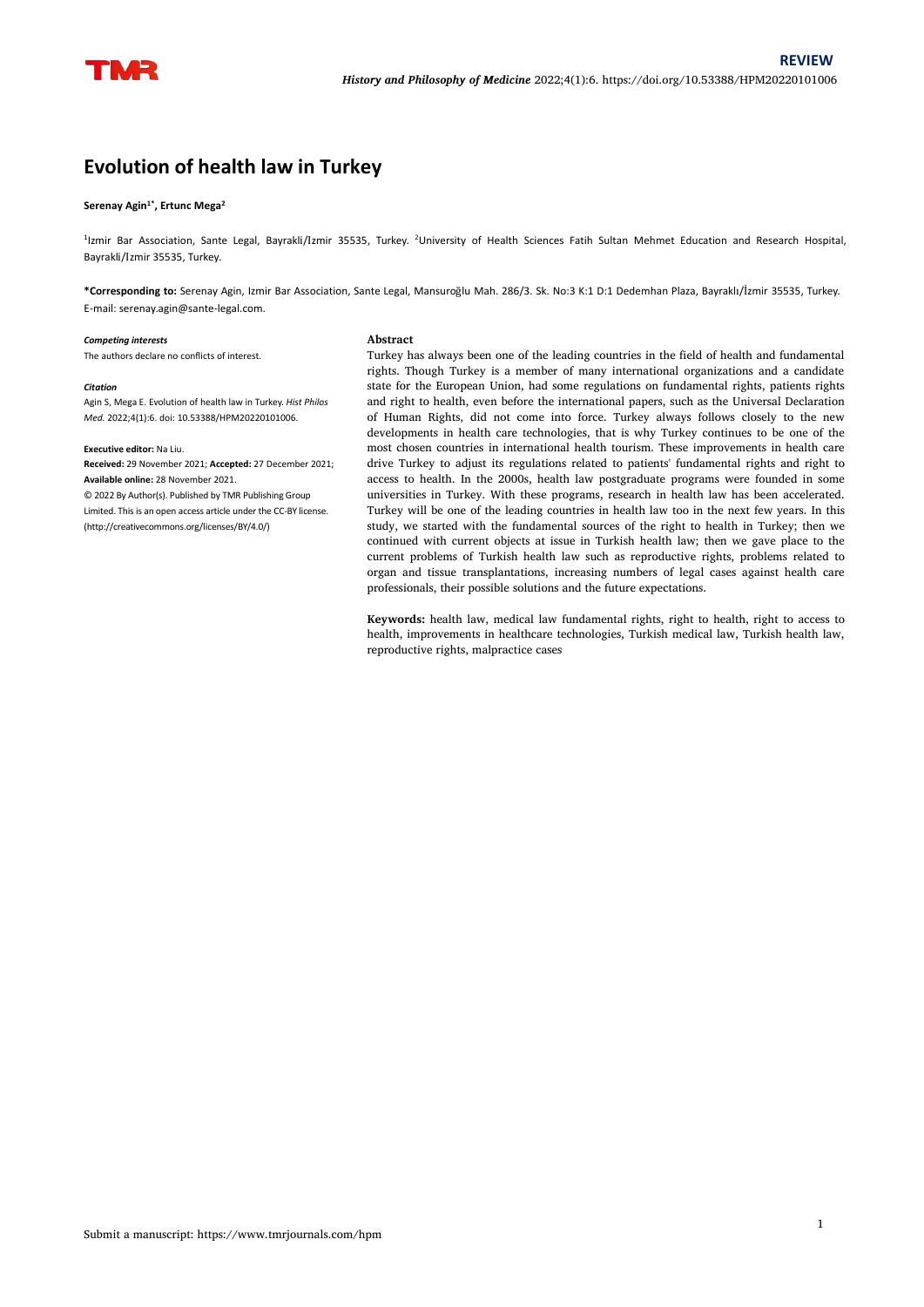# **Evolution of health law in Turkey**

#### **Serenay Agin 1\* , Ertunc Mega 2**

<sup>1</sup>Izmir Bar Association, Sante Legal, Bayrakli/Izmir 35535, Turkey. <sup>2</sup>University of Health Sciences Fatih Sultan Mehmet Education and Research Hospital, Bayrakli/Izmir 35535, Turkey.

**\*Corresponding to:** Serenay Agin, Izmir Bar Association, Sante Legal, Mansuroğlu Mah. 286/3. Sk. No:3 K:1 D:1 Dedemhan Plaza, Bayraklı/İzmir 35535, Turkey. E-mail: serenay.agin@sante-legal.com.

**Abstract**

#### *Competing interests*

The authors declare no conflicts of interest.

#### *Citation*

Agin S, Mega E. Evolution of health law in Turkey. *Hist Philos Med.* 2022;4(1):6. doi: 10.53388/HPM20220101006.

## **Executive editor:** Na Liu.

**Received:** 29 November 2021; **Accepted:** 27 December 2021; **Available online:** 28 November 2021.

© 2022 By Author(s). Published by TMR Publishing Group Limited. This is an open access article under the CC-BY license. (http://creativecommons.org/licenses/BY/4.0/)

Turkey has always been one of the leading countries in the field of health and fundamental rights. Though Turkey is a member of many international organizations and a candidate state for the European Union, had some regulations on fundamental rights, patients rights and right to health, even before the international papers, such as the Universal Declaration of Human Rights, did not come into force. Turkey always follows closely to the new developments in health care technologies, that is why Turkey continues to be one of the most chosen countries in international health tourism. These improvements in health care drive Turkey to adjust its regulations related to patients' fundamental rights and right to access to health. In the 2000s, health law postgraduate programs were founded in some universities in Turkey. With these programs, research in health law has been accelerated. Turkey will be one of the leading countries in health law too in the next few years. In this study, we started with the fundamental sources of the right to health in Turkey; then we continued with current objects at issue in Turkish health law; then we gave place to the current problems of Turkish health law such as reproductive rights, problems related to organ and tissue transplantations, increasing numbers of legal cases against health care professionals, their possible solutions and the future expectations.

**Keywords:** health law, medical law fundamental rights, right to health, right to access to health, improvements in healthcare technologies, Turkish medical law, Turkish health law, reproductive rights, malpractice cases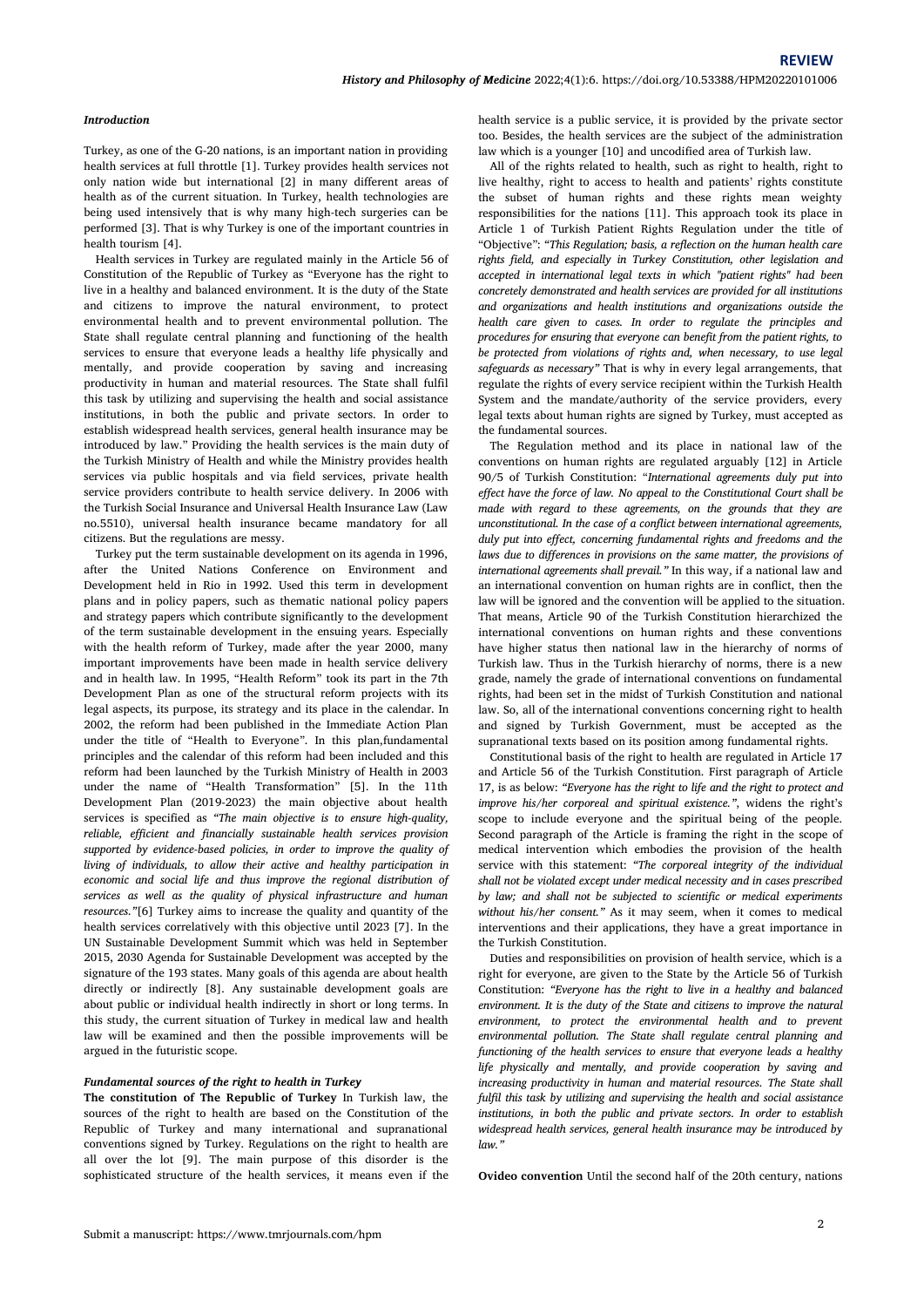#### *Introduction*

Turkey, as one of the G-20 nations, is an important nation in providing health services at full throttle [1]. Turkey provides health services not only nation wide but international [2] in many different areas of health as of the current situation. In Turkey, health technologies are being used intensively that is why many high-tech surgeries can be performed [3]. That is why Turkey is one of the important countries in health tourism [4].

Health services in Turkey are regulated mainly in the Article 56 of Constitution of the Republic of Turkey as "Everyone has the right to live in a healthy and balanced environment. It is the duty of the State and citizens to improve the natural environment, to protect environmental health and to prevent environmental pollution. The State shall regulate central planning and functioning of the health services to ensure that everyone leads a healthy life physically and mentally, and provide cooperation by saving and increasing productivity in human and material resources. The State shall fulfil this task by utilizing and supervising the health and social assistance institutions, in both the public and private sectors. In order to establish widespread health services, general health insurance may be introduced by law." Providing the health services is the main duty of the Turkish Ministry of Health and while the Ministry provides health services via public hospitals and via field services, private health service providers contribute to health service delivery. In 2006 with the Turkish Social Insurance and Universal Health Insurance Law (Law no.5510), universal health insurance became mandatory for allcitizens. But the regulations are messy.

Turkey put the term sustainable development on its agenda in 1996, after the United Nations Conference on Environment and Development held in Rio in 1992. Used this term in development plans and in policy papers, such as thematic national policy papers and strategy papers which contribute significantly to the development of the term sustainable development in the ensuing years. Especially with the health reform of Turkey, made after the year 2000, many important improvements have been made in health service delivery and in health law.In 1995, "Health Reform" took its partin the 7th Development Plan as one of the structural reform projects with its legal aspects, its purpose, its strategy and its place in the calendar. In 2002, the reform had been published in the Immediate Action Plan under the title of "Health to Everyone". In this plan,fundamental principles and the calendar of this reform had been included and this reform had been launched by the Turkish Ministry of Health in 2003 under the name of "Health Transformation" [5]. In the 11th Development Plan (2019-2023) the main objective about health services is specified as *"The main objective isto ensure high-quality, reliable, efficient and financially sustainable health services provision supported by evidence-based policies, in order to improve the quality of living of individuals, to allow their active and healthy participation in economic and social life and thus improve the regional distribution of services as well as the quality of physical infrastructure and human resources."*[6] Turkey aims to increase the quality and quantity of the health services correlatively with this objective until 2023 [7]. In the UN Sustainable Development Summit which was held in September 2015, 2030 Agenda for Sustainable Development was accepted by the signature of the 193 states. Many goals of this agenda are about health directly or indirectly [8]. Any sustainable development goals are about public or individual health indirectly in short or long terms. In this study, the current situation of Turkey in medical law and health environment, to protect the environmental health and to prevent law will be examined and then the possible improvements will be argued in the futuristic scope.

#### *Fundamental sources of the right to health in Turkey*

**The constitution of The Republic of Turkey** In Turkish law, the sources of the right to health are based on the Constitution of the Republic of Turkey and many international and supranational conventions signed by Turkey. Regulations on the right to health are all over the lot [9]. The main purpose of this disorder is the sophisticated structure of the health services, it means even if the health service is a public service, it is provided by the private sector too. Besides, the health services are the subject of the administration law which is a younger [10] and uncodified area of Turkish law.

All of the rights related to health, such as right to health, right to live healthy, right to access to health and patients' rights constitute the subset of human rights and these rights mean weighty responsibilities for the nations [11]. This approach took its place in Article 1 of Turkish Patient Rights Regulation under the title of "Objective": *"This Regulation; basis, a reflection on the human health care rights field, and especially in Turkey Constitution, other legislation and accepted in international legal texts in which "patient rights" had been concretely demonstrated and health services are provided for all institutions and organizations and health institutions and organizations outside the health care given to cases. In order to regulate the principles* and *procedures for ensuring that everyone can benefit from the patient rights, to be protected from violations of rights and, when necessary, to use legal safeguards as necessary"* That is why in every legal arrangements, that regulate the rights of every service recipient within the Turkish Health System and the mandate/authority of the service providers, every legal texts about human rights are signed by Turkey, must accepted as the fundamental sources.

The Regulation method and its place in national law of the conventions on human rights are regulated arguably [12] in Article 90/5 of Turkish Constitution: "*International agreements duly put into effect have the force of law. No appeal to the Constitutional Court shall be made with regard to these agreements, on the grounds that they are unconstitutional. In the case of a conflict between international agreements, duly put into effect, concerning fundamental rights and freedoms and the laws due to differences in provisions on the same matter, the provisions of international agreements shall prevail."* In this way, if a national law and an international convention on human rights are in conflict, then the law will be ignored and the convention will be applied to the situation. That means, Article 90 of the Turkish Constitution hierarchized the international conventions on human rights and these conventions have higher status then national law in the hierarchy of norms of Turkish law. Thus in the Turkish hierarchy of norms, there is a new grade, namely the grade of international conventions on fundamental rights, had been set in the midst of Turkish Constitution and national law. So, all of the international conventions concerning right to health and signed by Turkish Government, must be accepted as the supranational texts based on its position among fundamental rights.

Constitutional basis of the right to health are regulated in Article 17 and Article 56 of the Turkish Constitution. First paragraph of Article 17, is as below: *"Everyone has the right to life and the right to protect and improve his/her corporeal and spiritual existence."*, widens the right's scope to include everyone and the spiritual being of the people. Second paragraph of the Article is framing the right in the scope of medical intervention which embodies the provision of the health service with this statement: *"The corporeal integrity of the individual shall not be violated except under medical necessity and in cases prescribed by law*; and *shall not be subjected to scientific or medical experiments without his/her consent."* As it may seem, when it comes to medical interventions and their applications, they have a great importance in the Turkish Constitution.

Duties and responsibilities on provision of health service, which is a right for everyone, are given to the State by the Article 56 of Turkish Constitution: *"Everyone has the right to live in a healthy and balanced environment. It is the duty of the State and citizens to improve the natural* environmental pollution. The State shall regulate central planning and *functioning of the health services to ensure that everyone leads a healthy life physically and mentally,and provide cooperation by saving and increasing productivity in human and material resources. The State shall fulfil this task by utilizing and supervising the health and social assistance institutions, in both the public and private sectors. In order to establish widespread health services, general health insurance may be introduced by law."*

**Ovideo convention** Until the second half of the 20th century, nations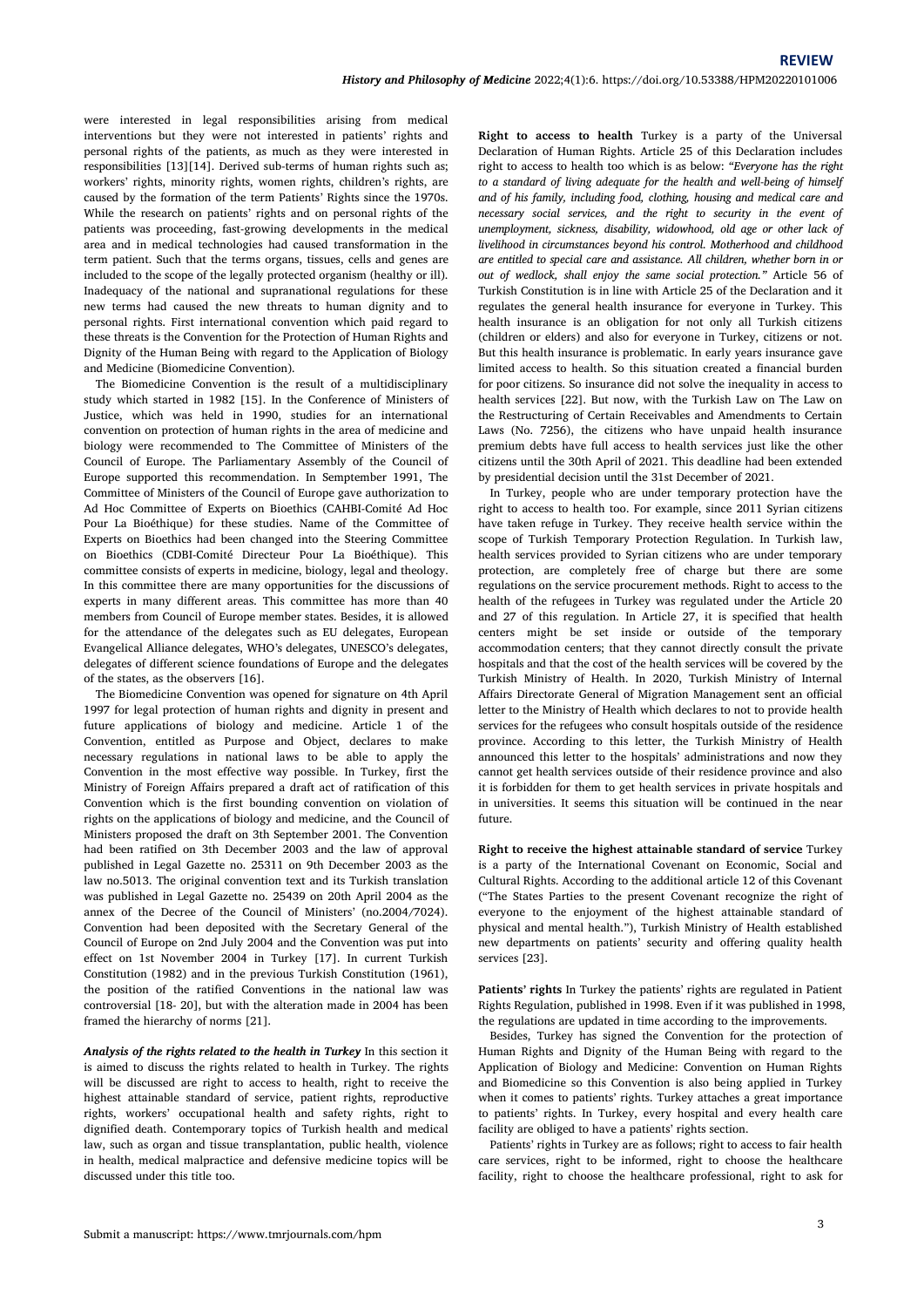were interested in legal responsibilities arising from medical interventions but they were not interested in patients' rights and personal rights of the patients, as much as they were interested in responsibilities [13][14]. Derived sub-terms of human rights such as: workers' rights, minority rights, women rights, children's rights, are caused by the formation of the term Patients' Rights since the 1970s. While the research on patients' rights and on personal rights of the patients was proceeding, fast-growing developments in the medical area and in medical technologies had caused transformation in the term patient. Such that the terms organs, tissues, cells and genes are included to the scope of the legally protected organism (healthy or ill). Inadequacy of the national and supranational regulations for these new terms had caused the new threats to human dignity and to personal rights. First international convention which paid regard to these threats is the Convention for the Protection of Human Rights and Dignity of the Human Being with regard to the Application of Biology and Medicine (Biomedicine Convention).

The Biomedicine Convention is the result of a multidisciplinary study which started in 1982 [15]. In the Conference of Ministers of Justice, which was held in 1990, studies for an international convention on protection of human rights in the area of medicine and biology were recommended to The Committee of Ministers of the Council of Europe. The Parliamentary Assembly of the Council of Europe supported this recommendation. In Semptember 1991, The Committee of Ministers of the Council of Europe gave authorization to Ad Hoc Committee of Experts on Bioethics (CAHBI-Comité Ad Hoc Pour La Bioéthique) for these studies. Name of the Committee of Experts on Bioethics had been changed into the Steering Committee on Bioethics (CDBI-Comité Directeur Pour La Bioéthique). This committee consists of experts in medicine, biology, legal and theology. In this committee there are many opportunities for the discussions of experts in many different areas. This committee has more than 40 members from Council of Europe member states. Besides, it is allowed for the attendance of the delegates such as EU delegates, European Evangelical Alliance delegates, WHO's delegates, UNESCO's delegates, delegates of different science foundations of Europe and the delegates of the states, as the observers [16].

The Biomedicine Convention was opened for signature on 4th April 1997 for legal protection of human rights and dignity in present and future applications of biology and medicine. Article 1 of the Convention, entitled as Purpose and Object, declares to make necessary regulations in national laws to be able to apply the Convention in the most effective way possible. In Turkey, first the Ministry of Foreign Affairs prepared <sup>a</sup> draft act of ratification of thisConvention which is the first bounding convention on violation of rights on the applications of biology and medicine, and the Council of Ministers proposed the draft on 3th September 2001. The Convention had been ratified on 3th December 2003 and the law of approval published in Legal Gazette no. 25311 on 9th December 2003 as the law no.5013. The original convention text and its Turkish translation was published in Legal Gazette no. 25439 on 20th April2004 as the annex of the Decree of the Council of Ministers' (no.2004/7024). Convention had been deposited with the Secretary General of the Council of Europe on 2nd July 2004 and the Convention was put into effect on 1st November 2004 in Turkey [17]. In current Turkish Constitution (1982) and in the previous Turkish Constitution (1961), the position of the ratified Conventions in the national law was controversial [18- 20], but with the alteration made in 2004 has been framed the hierarchy of norms [21].

*Analysis of the rights related to the health in Turkey* In this section it is aimed to discuss the rights related to health in Turkey. The rights will be discussed are right to access to health, right to receive the highest attainable standard of service, patient rights, reproductive rights, workers' occupational health and safety rights, right to dignified death. Contemporary topics of Turkish health and medical law, such as organ and tissue transplantation, public health, violence in health, medical malpractice and defensive medicine topics will be discussed under this title too.

**Right to access to health** Turkey is a party of the Universal Declaration of Human Rights. Article 25 of this Declaration includes right to access to health too which is as below:*"Everyone has the right to a standard of living adequate for the health and well-being of himself and of his family, including food, clothing, housing and medical care and necessary social services, and the right to security in the event of unemployment, sickness, disability, widowhood, old age or other lack of livelihood in circumstances beyond his control. Motherhood and childhood are entitled to special care and assistance.All children, whether born in or out of wedlock, shall enjoy the same social protection."* Article 56 of Turkish Constitution is in line with Article 25 of the Declaration and it regulates the general health insurance for everyone in Turkey. This health insurance is an obligation for not only all Turkish citizens But this health insurance is problematic. In early years insurance gave limited access to health. So this situation created a financial burden for poor citizens. So insurance did not solve the inequality in access to health services [22]. But now, with the Turkish Law on The Law on the Restructuring of Certain Receivables and Amendments to Certain Laws (No. 7256), the citizens who have unpaid health insurance premium debts have full access to health services just like the other citizens until the 30th April of 2021. This deadline had been extended by presidential decision until the 31st December of 2021.

In Turkey, people who are under temporary protection have the right to access to health too. For example, since 2011 Syrian citizens have taken refuge in Turkey. They receive health service within the scope of Turkish Temporary Protection Regulation. In Turkish law, health services provided to Syrian citizens who are under temporary protection, are completely free of charge but there are some regulations on the service procurement methods. Right to access to the health of the refugees in Turkey was regulated under the Article 20 and 27 of this regulation. In Article 27, it is specified that health centers might be set inside or outside of the temporary accommodation centers; that they cannot directly consult the private hospitals and that the cost of the health services will be covered by the Turkish Ministry of Health. In 2020, Turkish Ministry of Internal Affairs Directorate General of Migration Management sent an official letter to the Ministry of Health which declares to not to provide health services for the refugees who consult hospitals outside of the residence province. According to this letter, the Turkish Ministry of Health announced this letter to the hospitals'administrations and now they cannot get health services outside of their residence province and also it is forbidden for them to get health services in private hospitals and in universities. It seems this situation will be continued in the near future.

**Right to receive the highest attainable standard of service** Turkey is a party of the International Covenant on Economic, Social and Cultural Rights. According to the additional article 12 of thisCovenant ("The States Parties to the present Covenant recognize the right of everyone to the enjoyment of the highest attainable standard of physical and mental health."), Turkish Ministry of Health established new departments on patients' security and offering quality health services [23].

**Patients' rights** In Turkey the patients' rights are regulated in Patient Rights Regulation, published in 1998. Even if it was published in 1998, the regulations are updated in time according to the improvements.

Besides, Turkey has signed the Convention for the protection of Human Rights and Dignity of the Human Being with regard to the Application of Biology and Medicine: Convention on Human Rights and Biomedicine so this Convention is also being applied in Turkey when it comes to patients' rights. Turkey attaches a great importance to patients' rights. In Turkey, every hospital and every health care facility are obliged to have a patients' rights section.

Patients' rights in Turkey are as follows; right to access to fair health care services, right to be informed, right to choose the healthcare facility, right to choose the healthcare professional, right to ask for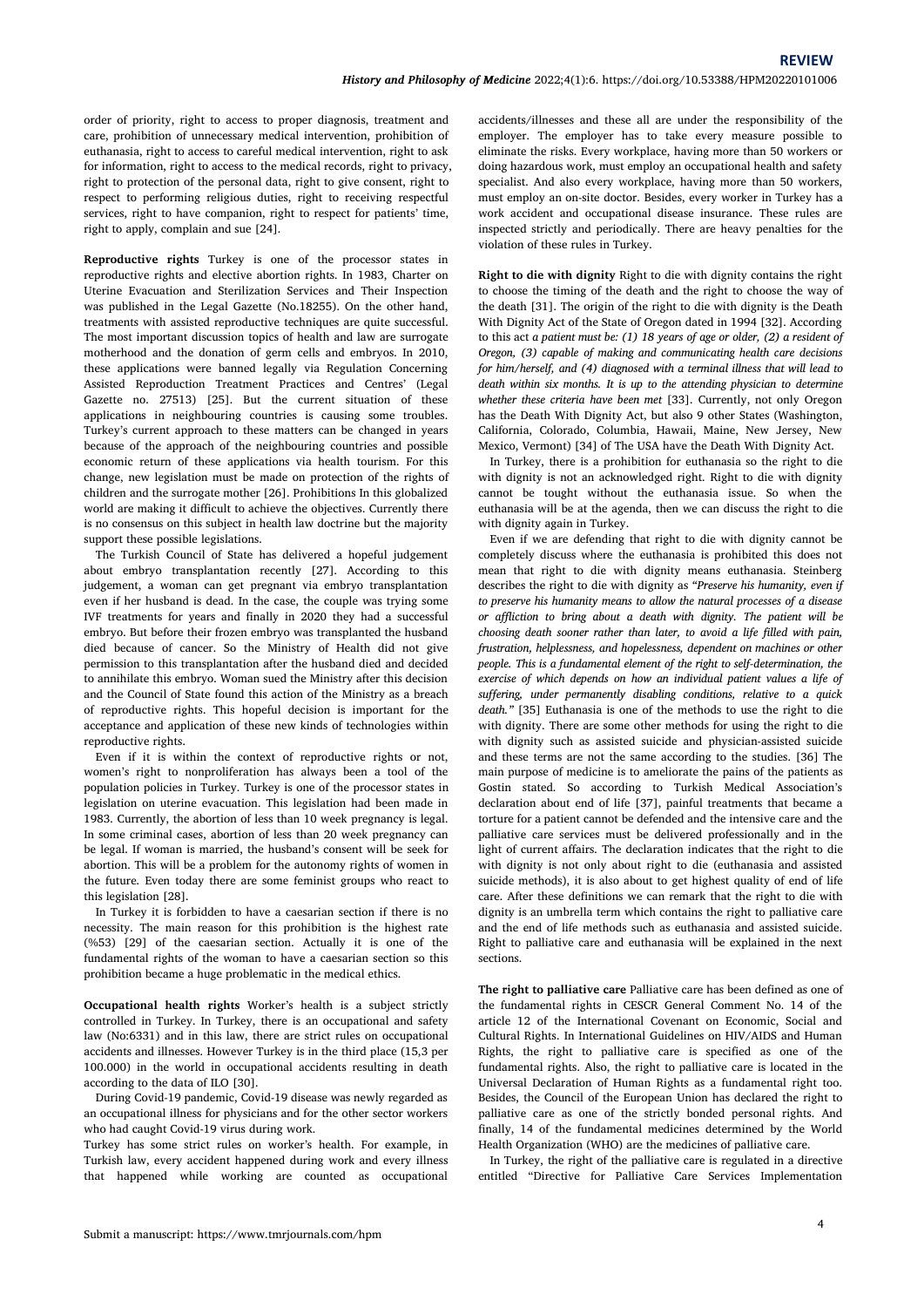order of priority, right to access to proper diagnosis, treatment and care, prohibition of unnecessary medical intervention, prohibition of euthanasia, right to access to careful medical intervention, right to ask for information, right to access to the medical records, right to privacy, right to protection of the personal data, right to give consent, right to respect to performing religious duties, right to receiving respectful services, right to have companion, right to respect for patients' time, right to apply, complain and sue [24].

**Reproductive rights** Turkey is one of the processor states in reproductive rights and elective abortion rights. In 1983, Charter on Uterine Evacuation and Sterilization Services and Their Inspection was published in the Legal Gazette (No.18255). On the other hand, treatments with assisted reproductive techniques are quite successful. The most important discussion topics of health and law are surrogate motherhood and the donation of germ cells and embryos. In 2010, these applications were banned legally via Regulation Concerning Assisted Reproduction Treatment Practices and Centres' (Legal Gazette no. 27513) [25]. But the current situation of these applications in neighbouring countries is causing some troubles. Turkey's current approach to these matters can be changed in years because of the approach of the neighbouring countries and possible Mexico, Vermont) [34] of The USA have the Death With Dignity Act. economic return of these applications via health tourism. For this change, new legislation must be made on protection of the rights of children and the surrogate mother [26]. Prohibitions In this globalized world are making it difficult to achieve the objectives. Currently there is no consensus on this subject in health law doctrine but the majority support these possible legislations.

The Turkish Council of State has delivered a hopeful judgement about embryo transplantation recently [27]. According to this judgement, a woman can get pregnant via embryo transplantation even if her husband is dead. In the case, the couple was trying some IVF treatments for years and finally in 2020 they had a successful embryo. But before their frozen embryo was transplanted the husband died because of cancer. So the Ministry of Health did not give permission to this transplantation after the husband died and decided to annihilate this embryo. Woman sued the Ministry after this decision and the Councilof State found this action of the Ministry as a breach of reproductive rights. This hopeful decision is important for the acceptance and application of these new kinds of technologies within reproductive rights.

Even if it is within the context of reproductive rights or not, women's right to nonproliferation has always been a tool of the population policies in Turkey. Turkey is one of the processor states in legislation on uterine evacuation. This legislation had been made in 1983. Currently, the abortion of less than 10 week pregnancy is legal. In some criminal cases, abortion of less than 20 week pregnancy can be legal. If woman is married, the husband's consent will be seek for abortion. This will be a problem for the autonomy rights of women in the future. Even today there are some feminist groups who react to this legislation [28].

In Turkey it is forbidden to have a caesarian section if there is no necessity. The main reason for this prohibition is the highest rate (%53) [29] of the caesarian section. Actually it is one of the fundamental rights of the woman to have a caesarian section so this prohibition became a huge problematic in the medical ethics.

**Occupational health rights** Worker's health is a subject strictly controlled in Turkey. In Turkey, there is an occupational and safety law (No:6331) and in this law, there are strict rules on occupational accidents and illnesses. However Turkey is in the third place (15,3 per 100.000) in the world in occupational accidents resulting in death according to the data of ILO [30].

During Covid-19 pandemic, Covid-19 disease was newly regarded as an occupational illness for physicians and for the other sector workers who had caught Covid-19 virus during work.

Turkey has some strict rules on worker's health. For example, in Turkish law, every accident happened during work and every illness that happened while working are counted as occupational accidents/illnesses and these all are under the responsibility of the employer. The employer has to take every measure possible to eliminate the risks. Every workplace, having more than 50 workers or doing hazardous work, must employ an occupational health and safety specialist. And also every workplace, having more than 50 workers, must employ an on-site doctor. Besides, every worker in Turkey has a work accident and occupational disease insurance. These rules are inspected strictly and periodically. There are heavy penalties for the violation of these rules in Turkey.

**Right to die with dignity** Right to die with dignity contains the right to choose the timing of the death and the right to choose the way of the death [31]. The origin of the right to die with dignity is the Death With Dignity Act of the State of Oregon dated in 1994 [32]. According to this act *a patient must be: (1) 18 years of age orolder, (2) a resident of Oregon, (3) capable of making and communicating health care decisions for him/herself, and (4) diagnosed with a terminal illness that will lead to death within six months. It is up to the attending physician to determine whether these criteria have been met* [33]. Currently, not only Oregon has the Death With Dignity Act, but also 9 other States (Washington, California, Colorado, Columbia, Hawaii, Maine, New Jersey, New

In Turkey, there is a prohibition for euthanasia so the right to die with dignity is not an acknowledged right. Right to die with dignity cannot be tought without the euthanasia issue. So when the euthanasia will be at the agenda, then we can discuss the right to die with dignity again in Turkey.

Even if we are defending that right to die with dignity cannot be completely discuss where the euthanasia is prohibited this does not mean that right to die with dignity means euthanasia. Steinberg describes the right to die with dignity as *"Preserve his humanity, even if to preserve his humanity means to allow the natural processes of a disease or affliction to bring about a death with dignity. The patient will be choosing death sooner rather than later, to avoid a life filled with pain, frustration, helplessness, and hopelessness, dependent on machines or other people. This is a fundamental element of the right to self-determination, the exercise of which depends on how an individual patient values a life of suffering, under permanently disabling conditions, relative to a quick death."* [35] Euthanasia is one of the methods to use the right to die with dignity. There are some other methods for using the right to die with dignity such as assisted suicide and physician-assisted suicide and these terms are not the same according to the studies. [36] The main purpose of medicine is to ameliorate the pains of the patients as Gostin stated. So according to Turkish Medical Association's declaration about end of life [37], painful treatments that became a torture for a patient cannot be defended and the intensive care and the palliative care services must be delivered professionally and in the light of current affairs. The declaration indicates that the right to die with dignity is not only about right to die (euthanasia and assisted suicide methods), it is also about to get highest quality of end of life care. After these definitions we can remark that the right to die with dignity is an umbrella term which contains the right to palliative care and the end of life methods such as euthanasia and assisted suicide. Right to palliative care and euthanasia will be explained in the next sections.

**The right to palliative care** Palliative care hasbeen defined as one of the fundamental rights in CESCR General Comment No. 14 of the article 12 of the International Covenant on Economic, Social and Cultural Rights. In International Guidelines on HIV/AIDS and Human Rights, the right to palliative care is specified as one of the fundamental rights. Also, the right to palliative care is located in the Universal Declaration of Human Rights as a fundamental right too. Besides, the Council of the European Union has declared the right to palliative care as one of the strictly bonded personal rights. And finally, 14 of the fundamental medicines determined by the World Health Organization (WHO) are the medicines of palliative care.

In Turkey, the right of the palliative care is regulated in a directive entitled "Directive for Palliative Care Services Implementation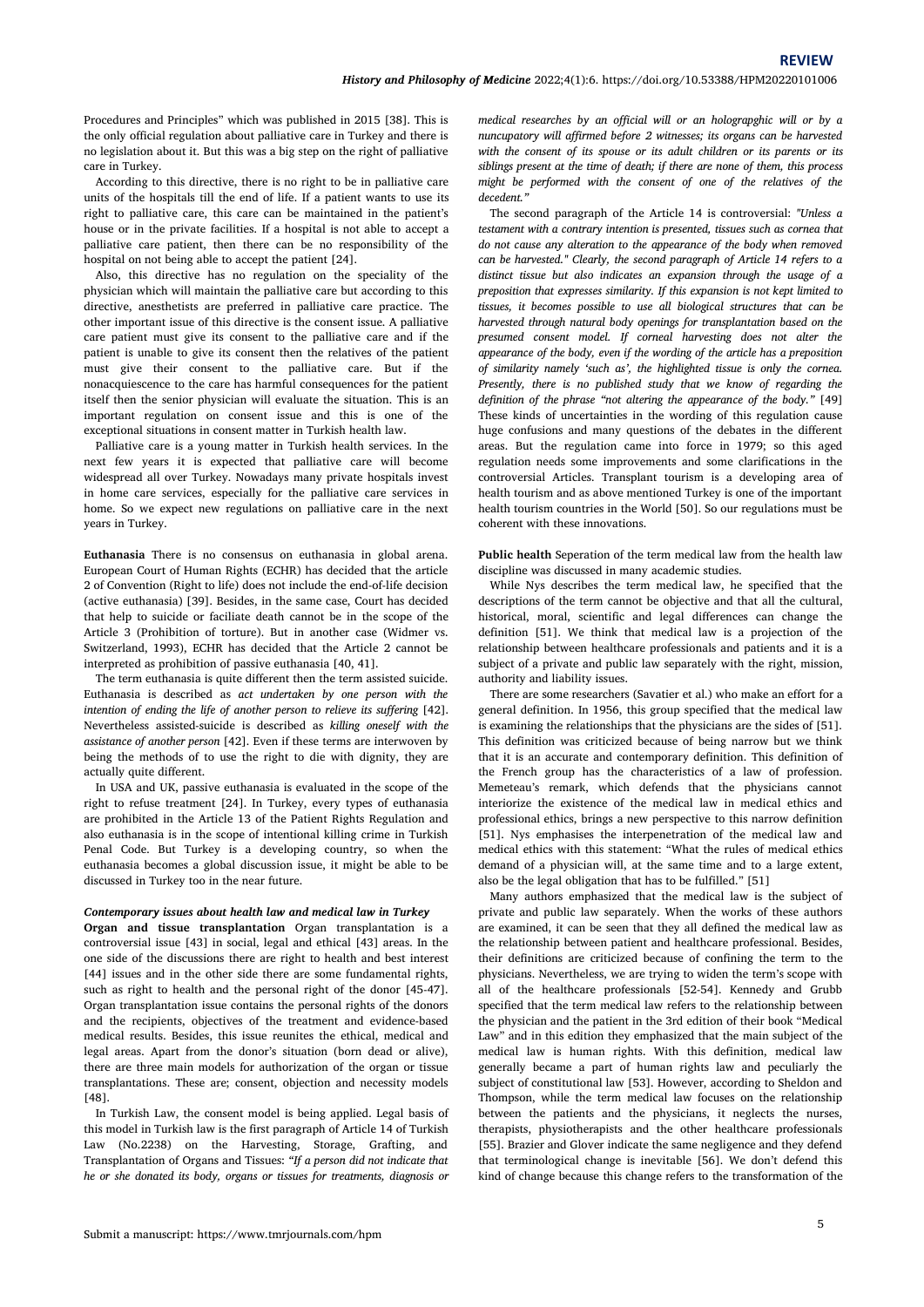Procedures and Principles" which was published in 2015 [38]. This is the only official regulation about palliative care in Turkey and there is no legislation about it.But this was a big step on the right of palliative care in Turkey.

According to this directive, there is no right to be in palliative care units of the hospitals till the end of life. If a patient wants to use its right to palliative care, this care can be maintained in the patient's house or in the private facilities. If a hospital is not able to accept a palliative care patient, then there can be no responsibility of the hospital on not being able to accept the patient [24].

Also, this directive has no regulation on the speciality of the physician which will maintain the palliative care but according to this directive, anesthetists are preferred in palliative care practice. The other important issue of this directive is the consent issue. A palliative care patient must give its consent to the palliative care and if the patient is unable to give its consent then the relatives of the patient must give their consent to the palliative care. But if the nonacquiescence to the care has harmful consequences for the patient itself then the senior physician will evaluate the situation. This is an important regulation on consent issue and this is one of the exceptional situations in consent matter in Turkish health law.

Palliative care is a young matter in Turkish health services. In the next few years it is expected that palliative care will become widespread all over Turkey. Nowadays many private hospitals invest in home care services, especially for the palliative care services in home. So we expect new regulations on palliative care in the next years in Turkey.

**Euthanasia** There is no consensus on euthanasia in global arena. European Court of Human Rights (ECHR) has decided that the article 2 of Convention (Right to life) does not include the end-of-life decision (active euthanasia) [39]. Besides, in the same case, Court has decided that help to suicide or faciliate death cannot be in the scope of the Article 3 (Prohibition of torture). But in another case (Widmer vs. Switzerland, 1993), ECHR has decided that the Article 2 cannot be interpreted as prohibition of passive euthanasia [40, 41].<br>The term euthanasia is quite different then the term assisted suicide.

Euthanasia is described as *actundertaken by one person with the intention of ending the life of another person to relieve its suffering* [42]. Nevertheless assisted-suicide is described as *killing oneself with the assistance of another person* [42]. Even if these terms are interwoven by being the methods of to use the right to die with dignity, they are actually quite different.

In USA and UK, passive euthanasia is evaluated in the scope of the right to refuse treatment [24]. In Turkey, every types of euthanasia are prohibited in the Article 13 of the Patient Rights Regulation and also euthanasia is in the scope of intentional killing crime in Turkish Penal Code. But Turkey is a developing country, so when the euthanasia becomes a global discussion issue, it might be able to be discussed in Turkey too in the near future.

# *Contemporary issues about health law and medical law in Turkey*

**Organ and tissue transplantation** Organ transplantation is a controversial issue [43] in social, legal and ethical [43] areas. In the one side of the discussions there are right to health and best interest [44] issues and in the other side there are some fundamental rights, such as right to health and the personal right of the donor [45-47]. Organ transplantation issue contains the personal rights of the donors and the recipients, objectives of the treatment and evidence-based medical results. Besides, this issue reunites the ethical, medical and legal areas. Apart from the donor's situation (born dead or alive), there are three main models for authorization of the organ or tissue transplantations. These are; consent, objection and necessity models [48].

In Turkish Law, the consent model is being applied. Legal basis of this model in Turkish law is the first paragraph of Article 14 of Turkish Law (No.2238) on the Harvesting, Storage, Grafting, and Transplantation of Organs and Tissues: *"If a person did not indicate that he or she donated its body, organs or tissues for treatments, diagnosis or* *medical researches by an official will or an holograpghic will or by a nuncupatory will affirmed before 2 witnesses; its organs can be harvested with theconsent of its spouse or its adult children or its parents or its siblings present at the time of death; if there are none of them, this process might be performed with the consent of one of the relatives of the decedent."*

The second paragraph of the Article 14 is controversial: *"Unless a testament with a contrary intention is presented, tissues such as cornea that do not cause any alteration to the appearance of the body when removed can be harvested." Clearly, the second paragraph of Article 14 refers to a distinct tissue but also indicates an expansion through the usage of a preposition that expresses similarity. If this expansion is not kept limited to tissues, it becomes possible to use all biological structures that can be harvested through natural body openings for transplantation based on the presumed consent model. If corneal harvesting does not alter the appearance of the body, even if the wording of the article has a preposition of similarity namely 'such as', the highlighted tissue is only the cornea. Presently, there is no published study that we know of regarding the definition of the phrase "not altering the appearance of the body."* [49] These kinds of uncertainties in the wording of this regulation cause huge confusions and many questions of the debates in the different areas. But the regulation came into force in 1979; so this aged regulation needs some improvements and some clarifications in the controversial Articles. Transplant tourism is a developing area of health tourism and as above mentioned Turkey is one of the important health tourism countries in the World [50]. So our regulations must be coherent with these innovations.

**Public health** Seperation of the term medical law from the health law discipline was discussed in many academic studies.

While Nys describes the term medical law, he specified that the descriptions of the term cannot be objective and that all the cultural, historical, moral, scientific and legal differences can change the definition [51]. We think that medical law is a projection of the relationship between healthcare professionals and patients and it is a subject of a private and public law separately with the right, mission, authority and liability issues.

There are some researchers (Savatier et al.) who make an effort for a general definition. In 1956, this group specified that the medical law is examining the relationships that the physicians are the sides of [51]. This definition was criticized because of being narrow but we think that it is an accurate and contemporary definition. This definition of the French group has the characteristics of a law of profession. Memeteau's remark, which defends that the physicians cannot interiorize the existence of the medical law in medical ethics and professional ethics, brings a new perspective to this narrow definition [51]. Nys emphasises the interpenetration of the medical law and medical ethics with this statement: "What the rules of medical ethics demand of a physician will, at the same time and to a large extent, also be the legal obligation that has to be fulfilled." [51]

Many authors emphasized that the medical law is the subject of private and public law separately. When the works of these authors are examined, it can be seen that they all defined the medical law as the relationship between patient and healthcare professional. Besides, their definitions are criticized because of confining the term to the physicians. Nevertheless, we are trying to widen the term's scope with all of the healthcare professionals [52-54]. Kennedy and Grubb specified that the term medical law refers to the relationship between the physician and the patient in the 3rd edition of their book "Medical Law" and in this edition they emphasized that the main subject of the medical law is human rights. With this definition, medical law generally became a part of human rights law and peculiarly the subject of constitutional law [53]. However, according to Sheldon and Thompson, while the term medical law focuses on the relationship between the patients and the physicians, it neglects the nurses, therapists, physiotherapists and the other healthcare professionals [55]. Brazier and Glover indicate the same negligence and they defend that terminological change is inevitable [56]. We don't defend this kind of change because this change refers to the transformation of the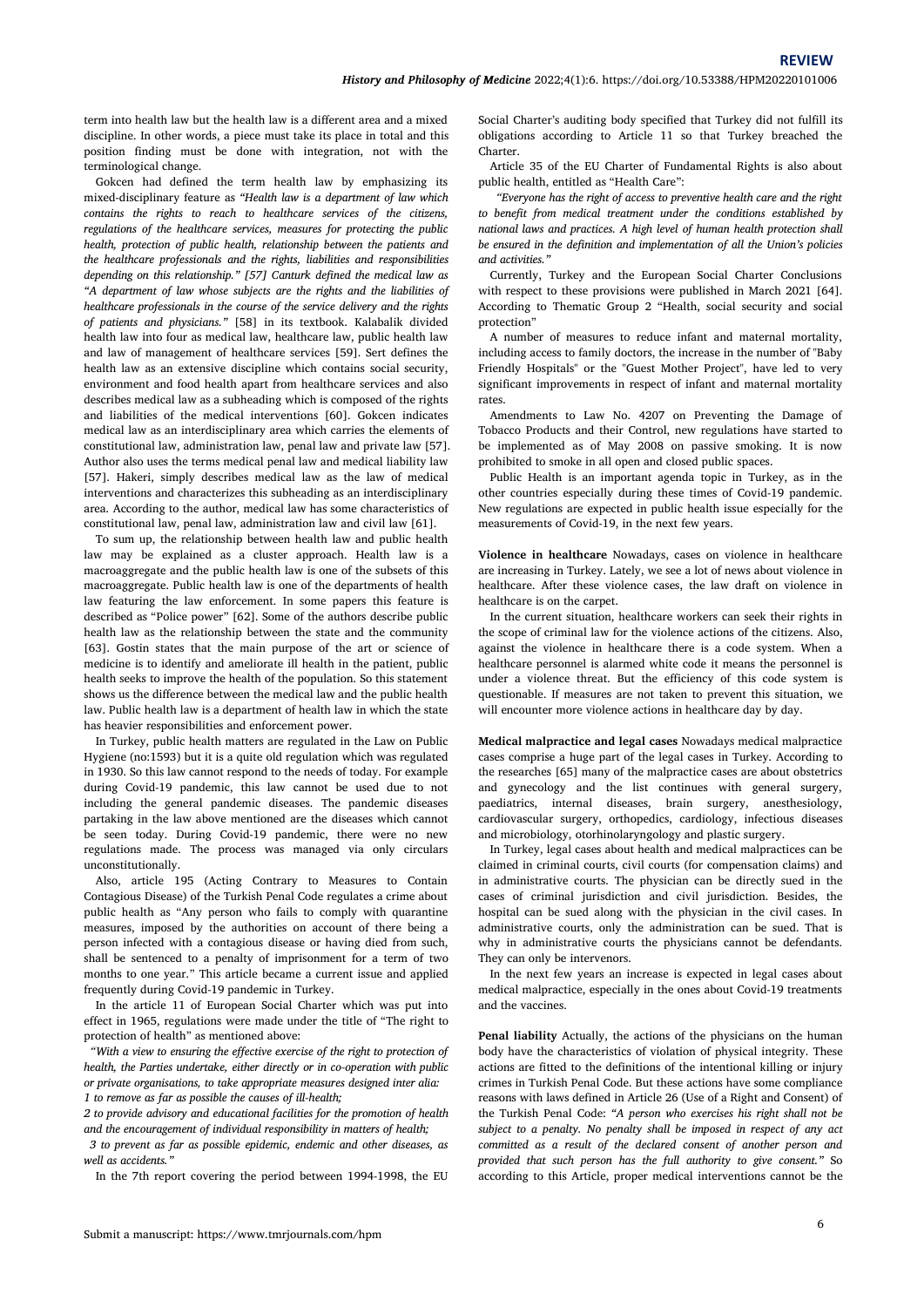term into health law but the health law is a different area and a mixed discipline. In other words, a piece must take its place in total and this position finding must be done with integration, not with the terminological change.

Gokcen had defined the term health law by emphasizing its mixed-disciplinary feature as *"Health law isa department of law which contains the rights to reach to healthcare services of the citizens, regulations of the healthcare services, measures for protecting the public health, protection of public health, relationship between the patients and the healthcare professionals and the rights, liabilities and responsibilities depending on this relationship." [57] Canturk defined themedical law as "A department of law whose subjects are the rights and theliabilities of healthcare professionals in the course of the service delivery and the rights of patients and physicians."* [58] in its textbook. Kalabalik divided health law into four as medical law, healthcare law, public health law and law of management of healthcare services [59]. Sert defines the health law as an extensive discipline which contains social security, environment and food health apart from healthcare services and also describes medical law as a subheading which is composed of the rights and liabilities of the medical interventions [60]. Gokcen indicates medical law as an interdisciplinary area which carries the elements of constitutional law, administration law, penal law and private law [57]. Author also uses the terms medical penal law and medical liability law prohibited to smoke in all open and closed public spaces. [57]. Hakeri, simply describes medical law as the law of medical interventions and characterizes this subheading as an interdisciplinary area. According to the author, medical law has some characteristics of constitutional law, penal law, administration law and civil law [61].

To sum up, the relationship between health law and public health law may be explained as a cluster approach. Health law is a macroaggregate and the public health law is one of the subsets of this macroaggregate. Public health law is one of the departments of health law featuring the law enforcement. In some papers this feature is described as "Police power" [62]. Some of the authors describe public health law as the relationship between the state and the community [63]. Gostin states that the main purpose of the art or science of against the violence in healthcare there is a code system. When a medicine is to identify and ameliorate ill health in the patient, public health seeks to improve the health of the population. So this statement shows us the difference between the medical law and the public health law. Public health law is a department of health law in which the state has heavier responsibilities and enforcement power.

In Turkey, public health matters are regulated in the Law on Public Hygiene (no:1593) but it is a quite old regulation which was regulated in 1930. So this law cannot respond to the needs of today. For example during Covid-19 pandemic, this law cannot be used due to not including the general pandemic diseases. The pandemic diseases partaking in the law above mentioned are the diseases which cannot be seen today. During Covid-19 pandemic, there were no new regulations made. The process was managed via only circulars unconstitutionally.

Also, article 195 (Acting Contrary to Measures to Contain Contagious Disease) of the Turkish Penal Code regulates a crime about public health as "Any person who fails to comply with quarantine measures, imposed by the authorities on account of there being a person infected with a contagious disease or having died from such, shall be sentenced to a penalty of imprisonment for a term of two months to one year." This article became a current issue and applied frequently during Covid-19 pandemic in Turkey.

In the article 11 of European Social Charter which was put into effect in 1965, regulations were made under the title of "The right to protection of health" as mentioned above:

"*With a view to ensuring the effective exercise of the right to protection of health, the Parties undertake, either directly or in co-operation with public or private organisations, to take appropriate measures designed inter alia: 1 to remove as far as possible the causes of ill-health;*

*2 to provide advisory and educational facilities for the promotion of health and the encouragement of individual responsibility in matters of health;*

*3 to prevent as far as possible epidemic, endemic and other diseases, as well as accidents."*

In the 7th report covering the period between 1994-1998, the EU

Social Charter's auditing body specified that Turkey did not fulfill its obligations according to Article 11 so that Turkey breached the Charter.

Article 35 of the EU Charter of Fundamental Rights is also about public health, entitled as "Health Care":

"*Everyone has the right of access to preventive health care and the right to benefit from medical treatment under the conditions established by national laws and practices. A high level of human health protection shall be ensured in the definition and implementation of all the Union's policies and activities."*

Currently, Turkey and the European Social Charter Conclusions with respect to these provisions were published in March 2021 [64]. According to Thematic Group 2 "Health, social security and social protection"

A number of measures to reduce infant and maternal mortality, including access to family doctors, the increase in the number of"Baby Friendly Hospitals" or the "Guest Mother Project", have led to very significant improvements in respect of infant and maternal mortality rates.

Amendments to Law No. 4207 on Preventing the Damage of Tobacco Products and their Control, new regulations have started to be implemented as of May 2008 on passive smoking. It is now

Public Health is an important agenda topic in Turkey, as in the other countries especially during these times of Covid-19 pandemic. New regulations are expected in public health issue especially for the measurements of Covid-19, in the next few years.

**Violence in healthcare** Nowadays, cases on violence in healthcare are increasing in Turkey. Lately, we see a lot of news about violence in healthcare. After these violence cases, the law draft on violence in healthcare is on the carpet.

In the current situation, healthcare workers can seek their rights in the scope of criminal law for the violence actions of the citizens.Also, healthcare personnel is alarmed white code it means the personnel is under a violence threat. But the efficiency of this code system is questionable. If measures are not taken to prevent this situation, we will encounter more violence actions in healthcare day by day.

**Medical malpractice and legal cases** Nowadays medical malpractice cases comprise a huge part of the legal cases in Turkey. According to the researches [65] many of the malpractice cases are about obstetrics and gynecology and the list continues with general surgery, paediatrics, internal diseases, brain surgery, anesthesiology, cardiovascular surgery, orthopedics, cardiology, infectious diseases and microbiology, otorhinolaryngology and plastic surgery.

In Turkey, legal cases about health and medical malpractices can be claimed in criminal courts, civil courts (for compensation claims) and in administrative courts. The physician can be directly sued in the cases of criminal jurisdiction and civil jurisdiction. Besides, the hospital can be sued along with the physician in the civil cases. In administrative courts, only the administration can be sued. That is why in administrative courts the physicians cannot be defendants. They can only be intervenors.

In the next few years an increase is expected in legal cases about medical malpractice, especially in the ones about Covid-19 treatments and the vaccines.

Penal liability Actually, the actions of the physicians on the human body have the characteristics of violation of physical integrity. These actions are fitted to the definitions of the intentional killing or injury crimes in Turkish Penal Code. But these actions have some compliance reasons with laws defined in Article 26 (Use of a Right and Consent) of the Turkish Penal Code: *"A person who exercises his right shall not be subject to a penalty. No penalty shall be imposed in respect of any act committed as a result of the declared consent of another person and provided that such person has the full authority to give consent."* So according to this Article, proper medical interventions cannot be the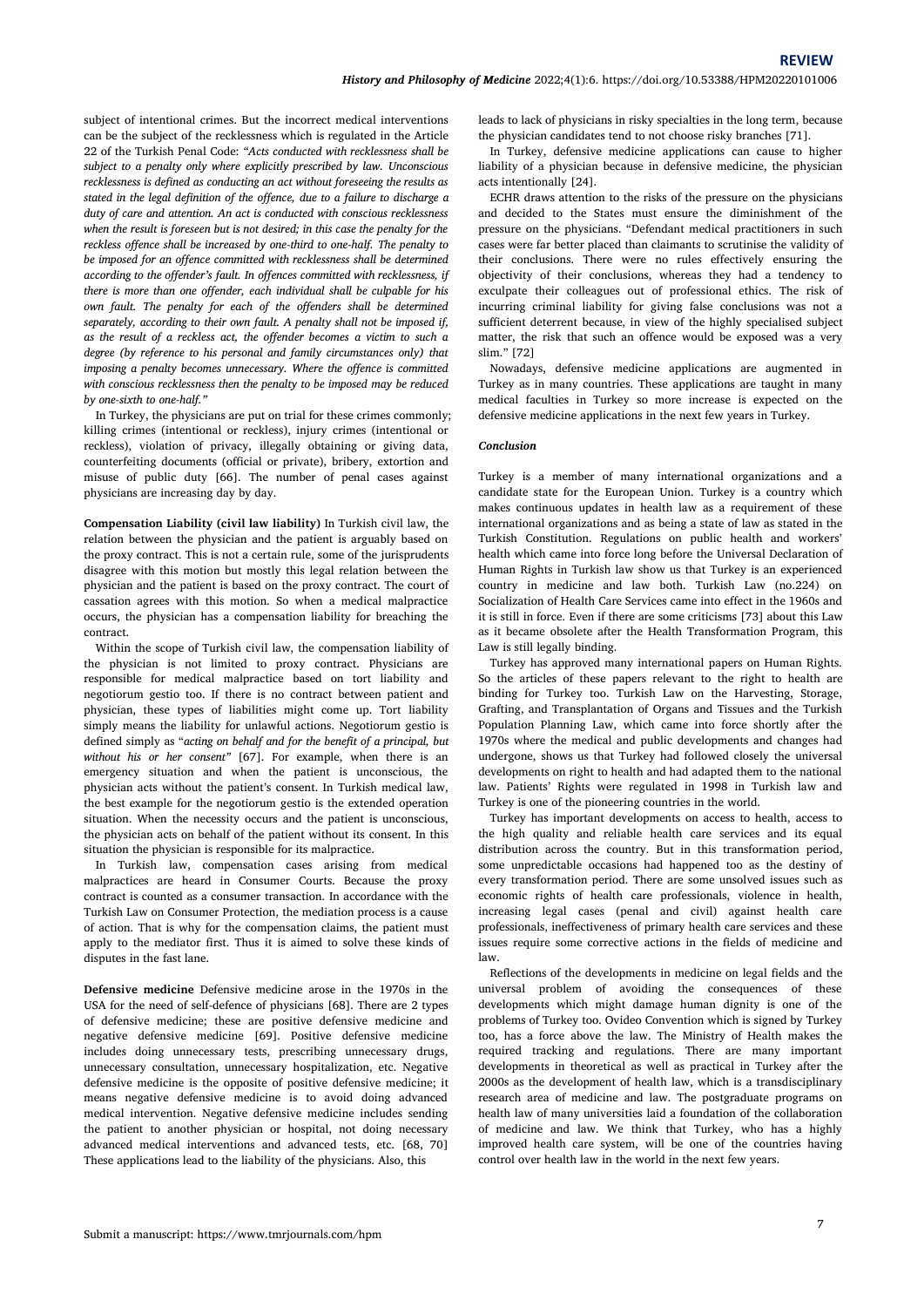subject of intentional crimes. But the incorrect medical interventions can be the subject of the recklessness which is regulated in the Article 22 of the Turkish Penal Code: *"Acts conducted with recklessness shall be subject to a penalty only where explicitly prescribed by law. Unconscious recklessness is defined as conducting an act without foreseeing the results as stated in the legal definition of the offence, due to a failure to discharge a duty of care and attention. An act is conducted with conscious recklessness when the result is foreseen but is not desired; in this case the penalty for the reckless offence shall be increased by one-third to one-half. The penalty to be imposed for an offence committed with recklessness shall be determined according to the offender's fault. In offences committed with recklessness, if there is more than oneoffender, each individual shall be culpable for his own fault. The penalty for each of the offenders shall be determined separately, according to their own fault. A penalty shall not be imposed if, as the result of a reckless act, the offender becomes a victim to such a degree (by reference to his personal and family circumstances only) that imposing a penalty becomes unnecessary. Where the offence is committed with conscious recklessness then the penalty to beimposed may be reduced by one-sixth to one-half."*

In Turkey, the physicians are put on trial for these crimes commonly; killing crimes (intentional or reckless), injury crimes (intentional or reckless), violation of privacy, illegally obtaining or giving data, counterfeiting documents (official or private), bribery, extortion and misuse of public duty [66]. The number of penal cases against physicians are increasing day by day.

**Compensation Liability (civil law liability)** In Turkish civil law, the relation between the physician and the patient is arguably based on the proxy contract. This is not a certain rule, some of the jurisprudents disagree with this motion but mostly this legal relation between the physician and the patient is based on the proxy contract. The court of cassation agrees with this motion. So when a medical malpractice occurs, the physician has a compensation liability for breaching the contract.

Within the scope of Turkish civil law, the compensation liability of the physician is not limited to proxy contract. Physicians are responsible for medical malpractice based on tort liability and negotiorum gestio too. If there is no contract between patient and physician, these types of liabilities might come up. Tort liability simply means the liability for unlawful actions. Negotiorum gestio is defined simply as "*acting on behalf and for the benefit of a principal, but without his or her consent"* [67]. For example, when there is an emergency situation and when the patient is unconscious, the physician acts without the patient's consent. In Turkish medical law, the best example for the negotiorum gestio is the extended operation situation. When the necessity occurs and the patient is unconscious, the physician acts on behalf of the patient without its consent. In this situation the physician is responsible for its malpractice.

In Turkish law, compensation cases arising from medical malpractices are heard in Consumer Courts. Because the proxy contract is counted as a consumer transaction. In accordance with the Turkish Law on Consumer Protection, the mediation process is a cause of action. That is why for the compensation claims, the patient must apply to the mediator first. Thus it is aimed to solve these kinds of disputes in the fast lane.

**Defensive medicine** Defensive medicine arose in the 1970s in the USA for the need of self-defence of physicians [68]. There are 2 types of defensive medicine; these are positive defensive medicine and negative defensive medicine [69]. Positive defensive medicine includes doing unnecessary tests, prescribing unnecessary drugs, unnecessary consultation, unnecessary hospitalization, etc. Negative defensive medicine is the opposite of positive defensive medicine; it means negative defensive medicine is to avoid doing advanced medical intervention. Negative defensive medicine includes sending the patient to another physician or hospital, not doing necessary advanced medical interventions and advanced tests, etc. [68, 70] These applications lead to the liability of the physicians. Also, this

leads to lack of physicians in risky specialties in the long term, because the physician candidates tend to not choose risky branches [71].

In Turkey, defensive medicine applications can cause to higher liability of a physician because in defensive medicine, the physician acts intentionally [24].

ECHR draws attention to the risks of the pressure on the physicians and decided to the States must ensure the diminishment of the pressure on the physicians. "Defendant medical practitioners in such cases were far better placed than claimants to scrutinise the validity of their conclusions. There were no rules effectively ensuring the objectivity of their conclusions, whereas they had a tendency to exculpate their colleagues out of professional ethics. The risk of incurring criminal liability for giving false conclusions was not a sufficient deterrent because, in view of the highly specialised subject matter, the risk that such an offence would be exposed was a very slim." [72]

Nowadays, defensive medicine applications are augmented in Turkey as in many countries. These applications are taught in many medical faculties in Turkey so more increase is expected on the defensive medicine applications in the next few years in Turkey.

### *Conclusion*

Turkey is a member of many international organizations and a candidate state for the European Union. Turkey is a country which makes continuous updates in health law as a requirement of these international organizations and as being a state of law as stated in the Turkish Constitution. Regulations on public health and workers' health which came into force long before the Universal Declaration of Human Rights in Turkish law show us that Turkey is an experienced country in medicine and law both. Turkish Law (no.224) on Socialization of Health Care Services came into effect in the 1960s and it is stillin force. Even if there are some criticisms [73] about this Law as itbecame obsolete after the Health Transformation Program, this Law is still legally binding.

Turkey has approved many international papers on Human Rights. So the articles of these papers relevant to the right to health are binding for Turkey too. Turkish Law on the Harvesting, Storage, Grafting, and Transplantation of Organs and Tissues and the Turkish Population Planning Law, which came into force shortly after the 1970s where the medical and public developments and changes had undergone, shows us that Turkey had followed closely the universal developments on right to health and had adapted them to the national law. Patients' Rights were regulated in 1998 in Turkish law and Turkey is one of the pioneering countries in the world.

Turkey has important developments on access to health, access to the high quality and reliable health care services and its equal distribution across the country. But in this transformation period, some unpredictable occasions had happened too as the destiny of every transformation period. There are some unsolved issues such as economic rights of health care professionals, violence in health, increasing legal cases (penal and civil) against health care professionals, ineffectiveness of primary health care services and these issues require some corrective actions in the fields of medicine and law.

Reflections of the developments in medicine on legal fields and the universal problem of avoiding the consequences of these developments which might damage human dignity is one of the problems of Turkey too. Ovideo Convention which is signed by Turkey too, has a force above the law. The Ministry of Health makes the required tracking and regulations. There are many important developments in theoretical as well as practical in Turkey after the 2000s as the development of health law, which is a transdisciplinary research area of medicine and law. The postgraduate programs on health law of many universities laid a foundation of the collaboration of medicine and law. We think that Turkey, who has a highly improved health care system, will be one of the countries having control over health law in the world in the next few years.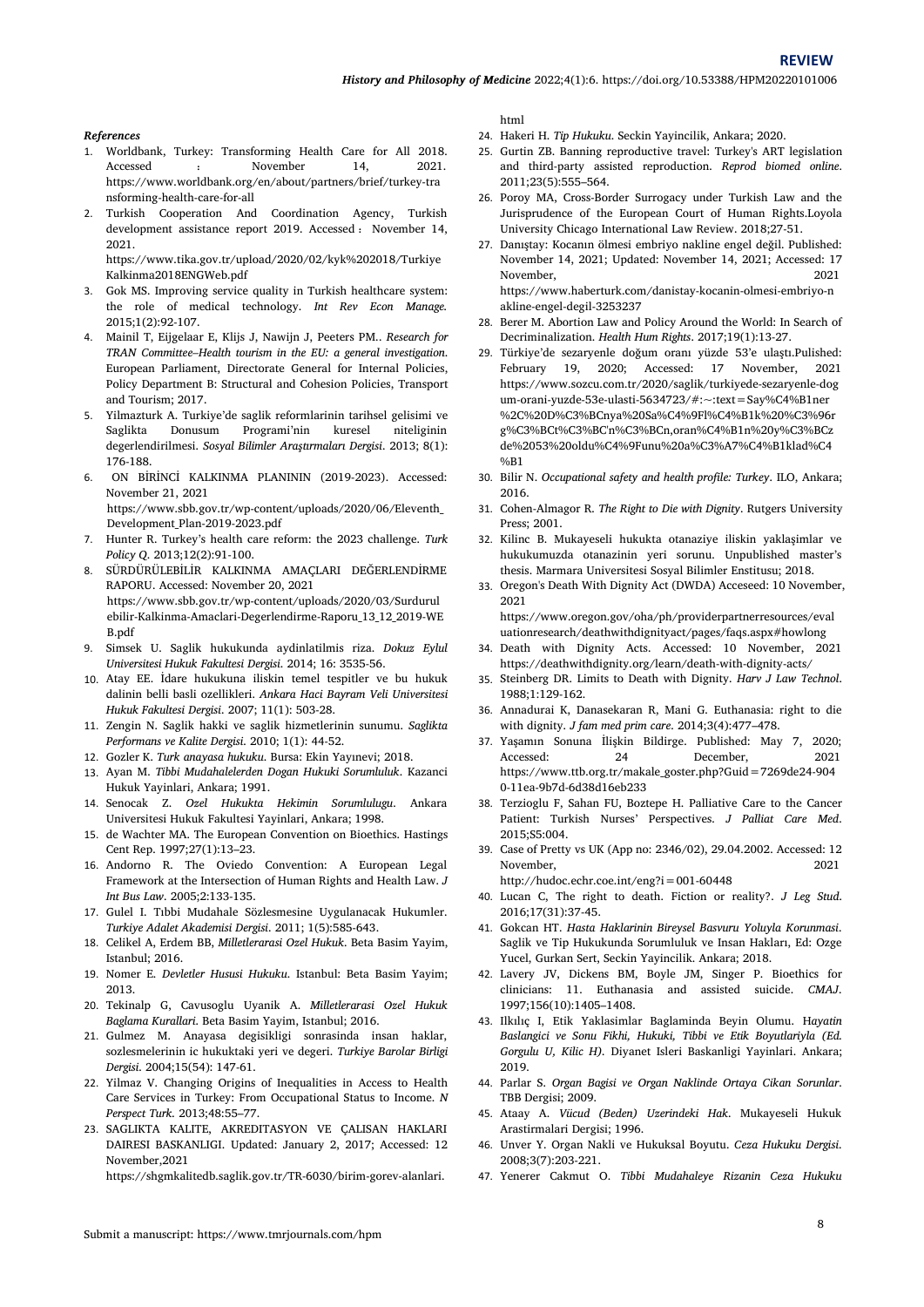**REVIEW**

#### *References*

- 1. Worldbank, Turkey: Transforming Health Care for All 2018. Accessed : November 14, 2021. a https://www.worldbank.org/en/about/partners/brief/turkey-tra nsforming-health-care-for-all
- 2. Turkish Cooperation And Coordination Agency, Turkish development assistance report 2019. Accessed : November 14,<br>2021. 27 2021. https://www.tika.gov.tr/upload/2020/02/kyk%202018/Turkiye

Kalkinma2018ENGWeb.pdf

- Gok MS. Improving service quality in Turkish healthcare system: the role of medical technology. *Int Rev Econ Manage.*2015;1(2):92-107.
- 4. Mainil T, Eijgelaar E, Klijs J, Nawijn J, Peeters PM.. *Research for TRAN Committee–Health tourism in theEU: a general investigation*. European Parliament, Directorate General for Internal Policies, Policy Department B: Structural and Cohesion Policies, Transport and Tourism; 2017.
- 5. Yilmazturk A. Turkiye'de saglik reformlarinin tarihsel gelisimi ve Saglikta Donusum Programi'nin kuresel niteliginin degerlendirilmesi. *Sosyal Bilimler Araştırmaları Dergisi*. 2013; 8(1): 176-188.
- 6. ON BİRİNCİ KALKINMA PLANININ (2019-2023). Accessed: November 21, 2021 https://www.sbb.gov.tr/wp-content/uploads/2020/06/Eleventh\_ Development\_Plan-2019-2023.pdf
- 7. Hunter R. Turkey's health care reform: the 2023 challenge. *Turk Policy Q*. 2013;12(2):91-100.
- 8. SÜRDÜRÜLEBİLİR KALKINMA AMAÇLARI DEĞERLENDİRME RAPORU. Accessed: November 20, 2021 https://www.sbb.gov.tr/wp-content/uploads/2020/03/Surdurul ebilir-Kalkinma-Amaclari-Degerlendirme-Raporu\_13\_12\_2019-WE B.pdf
- 9. Simsek U. Saglik hukukunda aydinlatilmis riza. *Dokuz Eylul Universitesi Hukuk Fakultesi Dergisi*. 2014; 16: 3535-56.
- 10. Atay EE. İdare hukukuna iliskin temel tespitler ve bu hukuk dalinin belli basli ozellikleri. *Ankara Haci Bayram Veli Universitesi Hukuk Fakultesi Dergisi*. 2007; 11(1): 503-28.
- 11. Zengin N. Saglik hakki ve saglik hizmetlerinin sunumu. *Saglikta Performans ve Kalite Dergisi*. 2010; 1(1): 44-52.
- 12. Gozler K. *Turk anayasa hukuku*. Bursa: Ekin Yayınevi; 2018.
- 13. Ayan M. *Tibbi Mudahalelerden Dogan Hukuki Sorumluluk*. Kazanci Hukuk Yayinlari, Ankara; 1991.
- 14. Senocak Z. Ozel Hukukta Hekimin Sorumlulugu. Ankara 38. Universitesi Hukuk Fakultesi Yayinlari, Ankara; 1998.
- 15. de Wachter MA.The European Convention on Bioethics. Hastings Cent Rep. 1997;27(1):13–23.
- 16. Andorno R. The Oviedo Convention: A European Legal Framework at the Intersection of Human Rights and Health Law. *J Int Bus Law*. 2005;2:133-135.
- 17. Gulel I. Tıbbi Mudahale Sözlesmesine Uygulanacak Hukumler. *Turkiye Adalet Akademisi Dergisi*. 2011; 1(5):585-643.
- 18. Celikel A, Erdem BB, *Milletlerarasi Ozel Hukuk*. Beta Basim Yayim, Istanbul; 2016.
- 19. Nomer E. *Devletler Hususi Hukuku*. Istanbul: Beta Basim Yayim; 2013.
- 20. Tekinalp G, Cavusoglu Uyanik A. *Milletlerarasi Ozel Hukuk Baglama Kurallari*. Beta Basim Yayim, Istanbul; 2016.
- 21. Gulmez M. Anayasa degisikligi sonrasinda insan haklar, sozlesmelerinin ic hukuktaki yeri ve degeri. *Turkiye Barolar Birligi Dergisi*. 2004;15(54): 147-61.
- 22. Yilmaz V. Changing Origins of Inequalities in Access to Health 44. Care Services in Turkey: From Occupational Status to Income. *N Perspect Turk.* 2013;48:55–77.
- 23. SAGLIKTA KALITE, AKREDITASYON VE ÇALISAN HAKLARI DAIRESI BASKANLIGI. Updated: January 2, 2017; Accessed: 12 November,2021

https://shgmkalitedb.saglik.gov.tr/TR-6030/birim-gorev-alanlari.

html

- 24. Hakeri H. *Tip Hukuku*. Seckin Yayincilik, Ankara; 2020.
- 25. Gurtin ZB. Banning reproductive travel: Turkey's ART legislation and third-party assisted reproduction. *Reprod biomed online*. 2011;23(5):555–564.
- 26. Poroy MA, Cross-Border Surrogacy under Turkish Law and the Jurisprudence of the European Court of Human Rights.Loyola University Chicago International Law Review. 2018;27-51.
- 27. Danıştay: Kocanın ölmesi embriyo nakline engel değil. Published: November 14, 2021; Updated: November 14, 2021; Accessed: 17 November, 2021 https://www.haberturk.com/danistay-kocanin-olmesi-embriyo-n akline-engel-degil-3253237
- Berer M. Abortion Law and Policy Around the World: In Search of Decriminalization. *Health Hum Rights*. 2017;19(1):13-27.
- 29. Türkiye'de sezaryenle doğum oranı yüzde 53'e ulaştı.Pulished: February 19, 2020; Accessed: 17 November, 2021 https://www.sozcu.com.tr/2020/saglik/turkiyede-sezaryenle-dog um-orani-yuzde-53e-ulasti-5634723/#:~:text=Say%C4%B1ner %2C%20D%C3%BCnya%20Sa%C4%9Fl%C4%B1k%20%C3%96r g%C3%BCt%C3%BC'n%C3%BCn,oran%C4%B1n%20y%C3%BCz de%2053%20oldu%C4%9Funu%20a%C3%A7%C4%B1klad%C4 %B1
- 30. Bilir N. *Occupational safety and health profile: Turkey*. ILO, Ankara; 2016.
- 31. Cohen-Almagor R. *The Right to Die with Dignity*. Rutgers University Press; 2001.
- 32. Kilinc B. Mukayeseli hukukta otanaziye iliskin yaklaşimlar ve hukukumuzda otanazinin yeri sorunu. Unpublished master's thesis. Marmara Universitesi Sosyal Bilimler Enstitusu; 2018.
- 33. Oregon's Death With Dignity Act (DWDA) Acceseed: 10 November, 2021 https://www.oregon.gov/oha/ph/providerpartnerresources/eval

uationresearch/deathwithdignityact/pages/faqs.aspx#howlong 34. Death with Dignity Acts. Accessed: 10 November, 2021

- https://deathwithdignity.org/learn/death-with-dignity-acts/
- 35. Steinberg DR. Limits to Death with Dignity. *Harv J Law Technol*. 1988;1:129-162.
- 36. Annadurai K, Danasekaran R, Mani G. Euthanasia: right to die with dignity. *J fam med prim care*. 2014;3(4):477–478.
- 37. Yaşamın Sonuna İlişkin Bildirge. Published: May 7, 2020; Accessed: 24 December, 2021 https://www.ttb.org.tr/makale\_goster.php?Guid=7269de24-904 0-11ea-9b7d-6d38d16eb233
- Terzioglu F, Sahan FU, Boztepe H. Palliative Care to the Cancer Patient: Turkish Nurses' Perspectives. *J Palliat Care Med.*
- 39. Case of Pretty vs UK (App no: 2346/02), 29.04.2002. Accessed: 12 November, 2021 http://hudoc.echr.coe.int/eng?i=001-60448

40. Lucan C, The right to death. Fiction or reality?. *J Leg Stud*. 2016;17(31):37-45.

- 41. Gokcan HT. *Hasta Haklarinin Bireysel Basvuru Yoluyla Korunmasi*. Saglik ve Tip Hukukunda Sorumluluk ve Insan Hakları, Ed: Ozge Yucel, Gurkan Sert, Seckin Yayincilik. Ankara; 2018.
- 42. Lavery JV, Dickens BM, Boyle JM, Singer P. Bioethics for clinicians: 11. Euthanasia and assisted suicide. *CMAJ*. 1997;156(10):1405–1408.
- 43. Ilkılıç I, Etik Yaklasimlar Baglaminda Beyin Olumu. H*ayatin Baslangici ve Sonu Fikhi, Hukuki, Tibbi ve Etik Boyutlariyla (Ed. Gorgulu U, Kilic H).* Diyanet Isleri Baskanligi Yayinlari. Ankara; 2019.
- 44. Parlar S. *Organ Bagisi ve Organ Naklinde Ortaya Cikan Sorunlar*. TBB Dergisi; 2009.
- 45. Ataay A. *Vücud (Beden) Uzerindeki Hak*. Mukayeseli Hukuk Arastirmalari Dergisi; 1996.
- 46. Unver Y. Organ Nakli ve Hukuksal Boyutu. *Ceza Hukuku Dergisi*. 2008;3(7):203-221.
- 47. Yenerer Cakmut O. *Tibbi Mudahaleye Rizanin Ceza Hukuku*